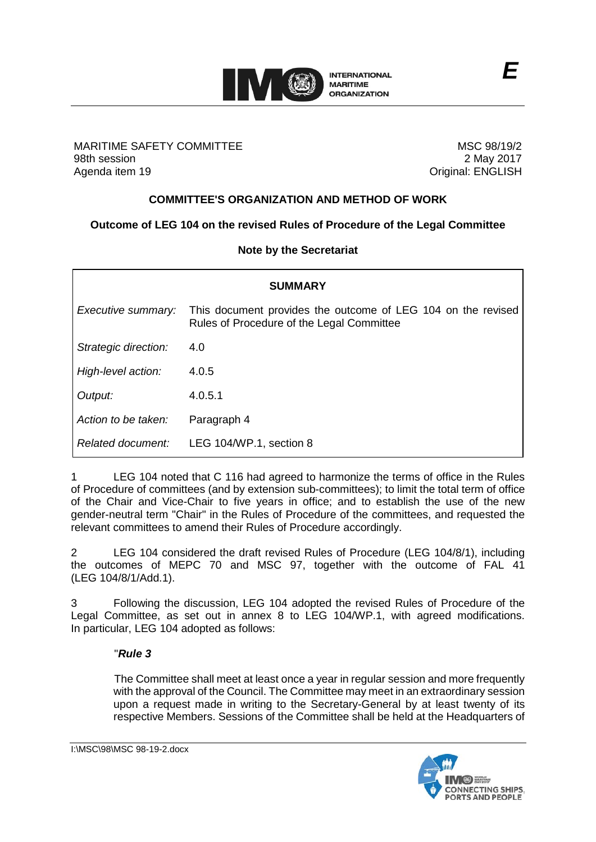

MARITIME SAFETY COMMITTEE 98th session Agenda item 19

MSC 98/19/2 2 May 2017 Original: ENGLISH

### **COMMITTEE'S ORGANIZATION AND METHOD OF WORK**

# **Outcome of LEG 104 on the revised Rules of Procedure of the Legal Committee**

### **Note by the Secretariat**

| <b>SUMMARY</b>       |                                                                                                           |
|----------------------|-----------------------------------------------------------------------------------------------------------|
| Executive summary:   | This document provides the outcome of LEG 104 on the revised<br>Rules of Procedure of the Legal Committee |
| Strategic direction: | 4.0                                                                                                       |
| High-level action:   | 4.0.5                                                                                                     |
| Output:              | 4.0.5.1                                                                                                   |
| Action to be taken:  | Paragraph 4                                                                                               |
| Related document:    | LEG 104/WP.1, section 8                                                                                   |

1 LEG 104 noted that C 116 had agreed to harmonize the terms of office in the Rules of Procedure of committees (and by extension sub-committees); to limit the total term of office of the Chair and Vice-Chair to five years in office; and to establish the use of the new gender-neutral term "Chair" in the Rules of Procedure of the committees, and requested the relevant committees to amend their Rules of Procedure accordingly.

2 LEG 104 considered the draft revised Rules of Procedure (LEG 104/8/1), including the outcomes of MEPC 70 and MSC 97, together with the outcome of FAL 41 (LEG 104/8/1/Add.1).

3 Following the discussion, LEG 104 adopted the revised Rules of Procedure of the Legal Committee, as set out in annex 8 to LEG 104/WP.1, with agreed modifications. In particular, LEG 104 adopted as follows:

### "*Rule 3*

The Committee shall meet at least once a year in regular session and more frequently with the approval of the Council. The Committee may meet in an extraordinary session upon a request made in writing to the Secretary-General by at least twenty of its respective Members. Sessions of the Committee shall be held at the Headquarters of

I:\MSC\98\MSC 98-19-2.docx